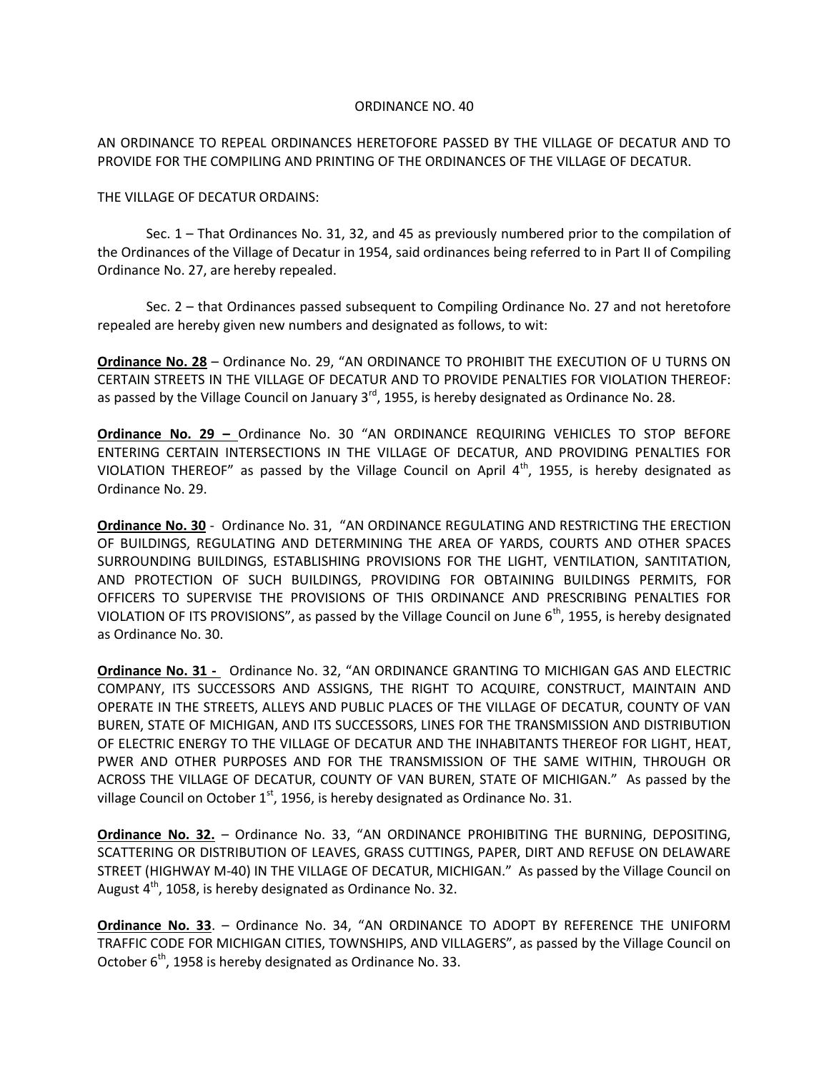## ORDINANCE NO. 40

AN ORDINANCE TO REPEAL ORDINANCES HERETOFORE PASSED BY THE VILLAGE OF DECATUR AND TO PROVIDE FOR THE COMPILING AND PRINTING OF THE ORDINANCES OF THE VILLAGE OF DECATUR.

## THE VILLAGE OF DECATUR ORDAINS:

 Sec. 1 – That Ordinances No. 31, 32, and 45 as previously numbered prior to the compilation of the Ordinances of the Village of Decatur in 1954, said ordinances being referred to in Part II of Compiling Ordinance No. 27, are hereby repealed.

 Sec. 2 – that Ordinances passed subsequent to Compiling Ordinance No. 27 and not heretofore repealed are hereby given new numbers and designated as follows, to wit:

**Ordinance No. 28** – Ordinance No. 29, "AN ORDINANCE TO PROHIBIT THE EXECUTION OF U TURNS ON CERTAIN STREETS IN THE VILLAGE OF DECATUR AND TO PROVIDE PENALTIES FOR VIOLATION THEREOF: as passed by the Village Council on January  $3<sup>rd</sup>$ , 1955, is hereby designated as Ordinance No. 28.

**Ordinance No. 29 –** Ordinance No. 30 "AN ORDINANCE REQUIRING VEHICLES TO STOP BEFORE ENTERING CERTAIN INTERSECTIONS IN THE VILLAGE OF DECATUR, AND PROVIDING PENALTIES FOR VIOLATION THEREOF" as passed by the Village Council on April  $4<sup>th</sup>$ , 1955, is hereby designated as Ordinance No. 29.

**Ordinance No. 30** - Ordinance No. 31, "AN ORDINANCE REGULATING AND RESTRICTING THE ERECTION OF BUILDINGS, REGULATING AND DETERMINING THE AREA OF YARDS, COURTS AND OTHER SPACES SURROUNDING BUILDINGS, ESTABLISHING PROVISIONS FOR THE LIGHT, VENTILATION, SANTITATION, AND PROTECTION OF SUCH BUILDINGS, PROVIDING FOR OBTAINING BUILDINGS PERMITS, FOR OFFICERS TO SUPERVISE THE PROVISIONS OF THIS ORDINANCE AND PRESCRIBING PENALTIES FOR VIOLATION OF ITS PROVISIONS", as passed by the Village Council on June  $6<sup>th</sup>$ , 1955, is hereby designated as Ordinance No. 30.

**Ordinance No. 31 -** Ordinance No. 32, "AN ORDINANCE GRANTING TO MICHIGAN GAS AND ELECTRIC COMPANY, ITS SUCCESSORS AND ASSIGNS, THE RIGHT TO ACQUIRE, CONSTRUCT, MAINTAIN AND OPERATE IN THE STREETS, ALLEYS AND PUBLIC PLACES OF THE VILLAGE OF DECATUR, COUNTY OF VAN BUREN, STATE OF MICHIGAN, AND ITS SUCCESSORS, LINES FOR THE TRANSMISSION AND DISTRIBUTION OF ELECTRIC ENERGY TO THE VILLAGE OF DECATUR AND THE INHABITANTS THEREOF FOR LIGHT, HEAT, PWER AND OTHER PURPOSES AND FOR THE TRANSMISSION OF THE SAME WITHIN, THROUGH OR ACROSS THE VILLAGE OF DECATUR, COUNTY OF VAN BUREN, STATE OF MICHIGAN." As passed by the village Council on October  $1<sup>st</sup>$ , 1956, is hereby designated as Ordinance No. 31.

**Ordinance No. 32.** – Ordinance No. 33, "AN ORDINANCE PROHIBITING THE BURNING, DEPOSITING, SCATTERING OR DISTRIBUTION OF LEAVES, GRASS CUTTINGS, PAPER, DIRT AND REFUSE ON DELAWARE STREET (HIGHWAY M-40) IN THE VILLAGE OF DECATUR, MICHIGAN." As passed by the Village Council on August  $4^{th}$ , 1058, is hereby designated as Ordinance No. 32.

**Ordinance No. 33**. – Ordinance No. 34, "AN ORDINANCE TO ADOPT BY REFERENCE THE UNIFORM TRAFFIC CODE FOR MICHIGAN CITIES, TOWNSHIPS, AND VILLAGERS", as passed by the Village Council on October 6<sup>th</sup>, 1958 is hereby designated as Ordinance No. 33.